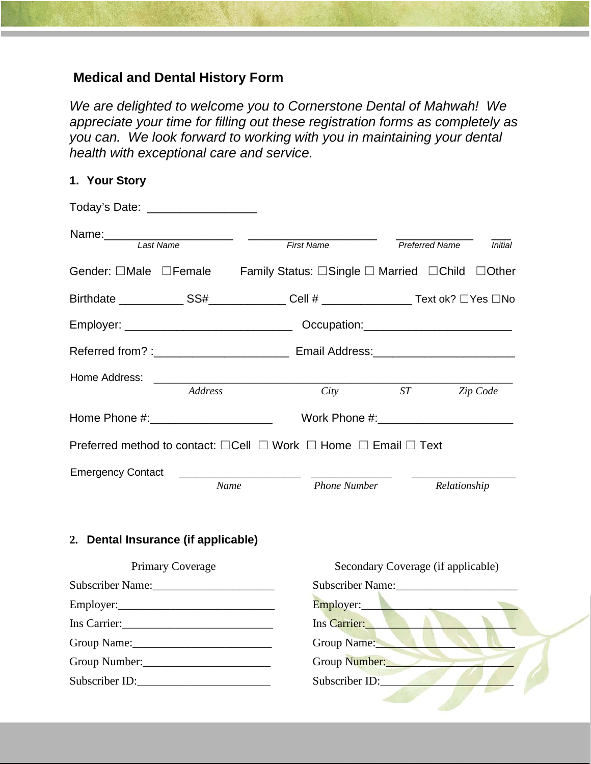# **Medical and Dental History Form**

*We are delighted to welcome you to Cornerstone Dental of Mahwah! We appreciate your time for filling out these registration forms as completely as you can. We look forward to working with you in maintaining your dental health with exceptional care and service.*

#### **1. Your Story**

| Today's Date: ___________________ |         |                                                                                           |  |                       |                |
|-----------------------------------|---------|-------------------------------------------------------------------------------------------|--|-----------------------|----------------|
| Last Name                         |         | <b>First Name</b>                                                                         |  | <b>Preferred Name</b> | <b>Initial</b> |
|                                   |         | Gender: □Male □Female Family Status: □Single □ Married □Child □Other                      |  |                       |                |
|                                   |         |                                                                                           |  |                       |                |
|                                   |         |                                                                                           |  |                       |                |
|                                   |         |                                                                                           |  |                       |                |
| Home Address:                     | Address | City                                                                                      |  | ST                    | Zip Code       |
| Home Phone #: ___________________ |         | Work Phone #: New York District Phone #:                                                  |  |                       |                |
|                                   |         | Preferred method to contact: $\Box$ Cell $\Box$ Work $\Box$ Home $\Box$ Email $\Box$ Text |  |                       |                |
| <b>Emergency Contact</b>          |         | <u> 1980 - Andrea Andrew Maria (b. 19</u>                                                 |  |                       |                |
|                                   |         | Name<br><b>Phone Number</b>                                                               |  | Relationship          |                |

### **2. Dental Insurance (if applicable)**

| <b>Primary Coverage</b>        | Secondary Coverage (if applicable) |
|--------------------------------|------------------------------------|
| Subscriber Name:               | Subscriber Name:                   |
|                                | Employer: New York 1999            |
| Ins Carrier: 1988 Carrier 2008 | Ins Carrier:                       |
|                                | Group Name:                        |
| Group Number:                  | Group Number:                      |
| Subscriber ID:                 | Subscriber ID:                     |
|                                |                                    |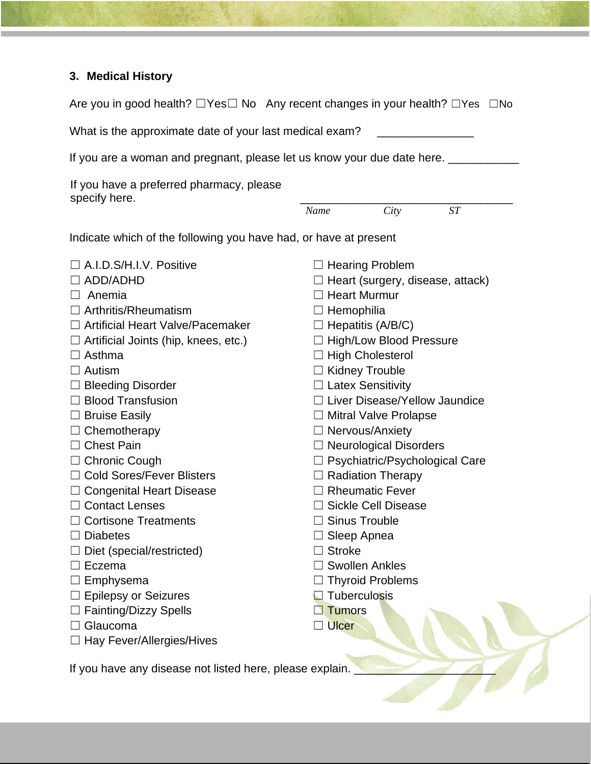# **3. Medical History**

| Are you in good health? $\Box$ Yes $\Box$ No Any recent changes in your health? $\Box$ Yes $\Box$ No |                                         |                                  |                            |    |  |
|------------------------------------------------------------------------------------------------------|-----------------------------------------|----------------------------------|----------------------------|----|--|
| What is the approximate date of your last medical exam?                                              |                                         |                                  |                            |    |  |
| If you are a woman and pregnant, please let us know your due date here. ____                         |                                         |                                  |                            |    |  |
| If you have a preferred pharmacy, please                                                             |                                         |                                  |                            |    |  |
| specify here.                                                                                        | Name                                    |                                  | City                       | ST |  |
| Indicate which of the following you have had, or have at present                                     |                                         |                                  |                            |    |  |
| $\Box$ A.I.D.S/H.I.V. Positive                                                                       |                                         | $\Box$ Hearing Problem           |                            |    |  |
| $\Box$ ADD/ADHD                                                                                      | $\Box$ Heart (surgery, disease, attack) |                                  |                            |    |  |
| $\Box$ Anemia                                                                                        |                                         | $\Box$ Heart Murmur              |                            |    |  |
| $\Box$ Arthritis/Rheumatism                                                                          | $\Box$ Hemophilia                       |                                  |                            |    |  |
| $\Box$ Artificial Heart Valve/Pacemaker                                                              | $\Box$ Hepatitis (A/B/C)                |                                  |                            |    |  |
| $\Box$ Artificial Joints (hip, knees, etc.)                                                          | □ High/Low Blood Pressure               |                                  |                            |    |  |
| $\Box$ Asthma                                                                                        | $\Box$ High Cholesterol                 |                                  |                            |    |  |
| $\Box$ Autism                                                                                        | □ Kidney Trouble                        |                                  |                            |    |  |
| $\Box$ Bleeding Disorder                                                                             |                                         | $\Box$ Latex Sensitivity         |                            |    |  |
| $\Box$ Blood Transfusion                                                                             |                                         | □ Liver Disease/Yellow Jaundice  |                            |    |  |
| $\Box$ Bruise Easily                                                                                 |                                         | □ Mitral Valve Prolapse          |                            |    |  |
| $\Box$ Chemotherapy                                                                                  |                                         | $\Box$ Nervous/Anxiety           |                            |    |  |
| $\Box$ Chest Pain                                                                                    |                                         | $\Box$ Neurological Disorders    |                            |    |  |
| $\Box$ Chronic Cough                                                                                 |                                         | □ Psychiatric/Psychological Care |                            |    |  |
| □ Cold Sores/Fever Blisters                                                                          | $\Box$ Radiation Therapy                |                                  |                            |    |  |
| $\Box$ Congenital Heart Disease                                                                      | $\Box$ Rheumatic Fever                  |                                  |                            |    |  |
| $\Box$ Contact Lenses                                                                                |                                         |                                  | $\Box$ Sickle Cell Disease |    |  |
| $\Box$ Cortisone Treatments                                                                          |                                         | $\Box$ Sinus Trouble             |                            |    |  |
| $\Box$ Diabetes                                                                                      |                                         | $\Box$ Sleep Apnea               |                            |    |  |
| $\Box$ Diet (special/restricted)                                                                     |                                         | $\Box$ Stroke                    |                            |    |  |
| $\Box$ Eczema                                                                                        |                                         | $\Box$ Swollen Ankles            |                            |    |  |
| $\Box$ Emphysema                                                                                     |                                         |                                  | $\Box$ Thyroid Problems    |    |  |

- □ Emphysema
- □ Epilepsy or Seizures
- □ Fainting/Dizzy Spells
- □ Glaucoma
- □ Hay Fever/Allergies/Hives
- **□** Tuberculosis
- □ Tumors
- □ Ulcer

If you have any disease not listed here, please explain.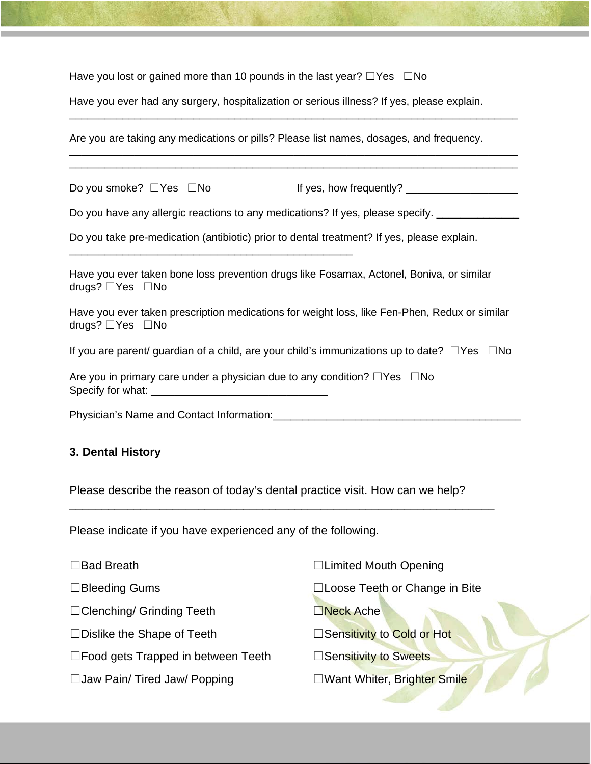Have you lost or gained more than 10 pounds in the last year?  $\Box$ Yes  $\Box$ No

Have you ever had any surgery, hospitalization or serious illness? If yes, please explain.

\_\_\_\_\_\_\_\_\_\_\_\_\_\_\_\_\_\_\_\_\_\_\_\_\_\_\_\_\_\_\_\_\_\_\_\_\_\_\_\_\_\_\_\_\_\_\_\_\_\_\_\_\_\_\_\_\_\_\_\_\_\_\_\_\_\_\_\_\_\_\_\_\_\_\_\_

\_\_\_\_\_\_\_\_\_\_\_\_\_\_\_\_\_\_\_\_\_\_\_\_\_\_\_\_\_\_\_\_\_\_\_\_\_\_\_\_\_\_\_\_\_\_\_\_\_\_\_\_\_\_\_\_\_\_\_\_\_\_\_\_\_\_\_\_\_\_\_\_\_\_\_\_ \_\_\_\_\_\_\_\_\_\_\_\_\_\_\_\_\_\_\_\_\_\_\_\_\_\_\_\_\_\_\_\_\_\_\_\_\_\_\_\_\_\_\_\_\_\_\_\_\_\_\_\_\_\_\_\_\_\_\_\_\_\_\_\_\_\_\_\_\_\_\_\_\_\_\_\_

Are you are taking any medications or pills? Please list names, dosages, and frequency.

Do you smoke?  $\square$  Yes  $\square$  No If yes, how frequently? \_\_\_\_\_\_\_\_\_\_\_\_\_\_\_\_\_\_\_\_\_\_\_\_\_

Do you have any allergic reactions to any medications? If yes, please specify.

Do you take pre-medication (antibiotic) prior to dental treatment? If yes, please explain.

\_\_\_\_\_\_\_\_\_\_\_\_\_\_\_\_\_\_\_\_\_\_\_\_\_\_\_\_\_\_\_\_\_\_\_\_\_\_\_\_\_\_\_\_\_\_\_\_

Have you ever taken bone loss prevention drugs like Fosamax, Actonel, Boniva, or similar drugs? ☐Yes ☐No

Have you ever taken prescription medications for weight loss, like Fen-Phen, Redux or similar drugs? ☐Yes ☐No

If you are parent/ guardian of a child, are your child's immunizations up to date? □Yes □No

| Are you in primary care under a physician due to any condition? $\square$ Yes $\square$ No |  |
|--------------------------------------------------------------------------------------------|--|
| Specify for what:                                                                          |  |

Physician's Name and Contact Information:\_\_\_\_\_\_\_\_\_\_\_\_\_\_\_\_\_\_\_\_\_\_\_\_\_\_\_\_\_\_\_\_\_\_\_\_\_\_\_\_\_\_

#### **3. Dental History**

Please describe the reason of today's dental practice visit. How can we help?

\_\_\_\_\_\_\_\_\_\_\_\_\_\_\_\_\_\_\_\_\_\_\_\_\_\_\_\_\_\_\_\_\_\_\_\_\_\_\_\_\_\_\_\_\_\_\_\_\_\_\_\_\_\_\_\_\_\_\_\_\_\_\_\_\_\_

Please indicate if you have experienced any of the following.

| $\Box$ Bad Breath                            | □Limited Mouth Opening         |
|----------------------------------------------|--------------------------------|
| □Bleeding Gums                               | □Loose Teeth or Change in Bite |
| $\Box$ Clenching/ Grinding Teeth             | Neck Ache                      |
| $\Box$ Dislike the Shape of Teeth            | □Sensitivity to Cold or Hot    |
| $\square$ Food gets Trapped in between Teeth | □Sensitivity to Sweets         |
| □ Jaw Pain/ Tired Jaw/ Popping               | □Want Whiter, Brighter Smile   |